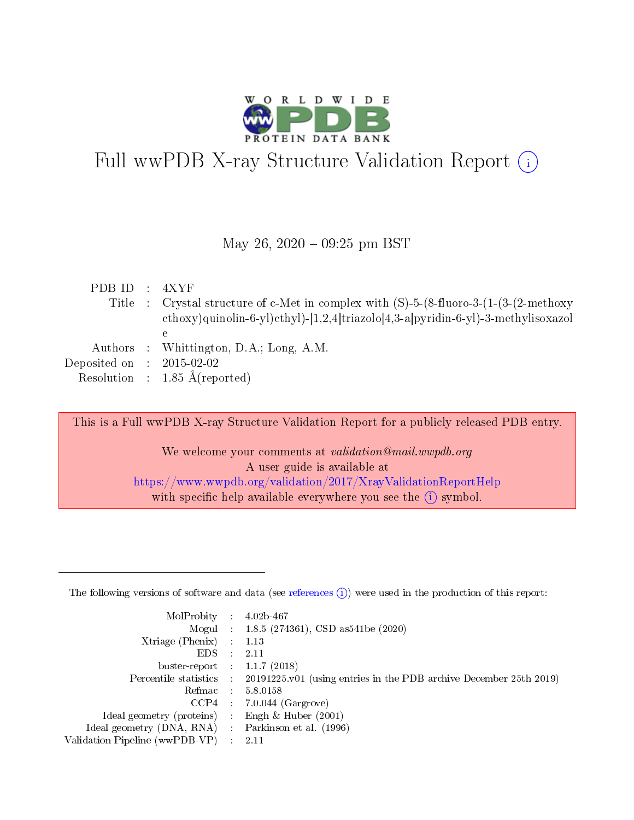

# Full wwPDB X-ray Structure Validation Report  $(i)$

### May 26,  $2020 - 09:25$  pm BST

| PDBID : 4XYF                |                                                                                                    |
|-----------------------------|----------------------------------------------------------------------------------------------------|
|                             | Title : Crystal structure of c-Met in complex with $(S)$ -5- $(8$ -fluoro-3- $(1-(3-(2-methoxy)))$ |
|                             | ethoxy)quinolin-6-yl)ethyl)-[1,2,4]triazolo[4,3-a]pyridin-6-yl)-3-methylisoxazol                   |
|                             | е                                                                                                  |
|                             | Authors : Whittington, D.A.; Long, A.M.                                                            |
| Deposited on : $2015-02-02$ |                                                                                                    |
|                             | Resolution : $1.85 \text{ Å}$ (reported)                                                           |

This is a Full wwPDB X-ray Structure Validation Report for a publicly released PDB entry. We welcome your comments at validation@mail.wwpdb.org A user guide is available at <https://www.wwpdb.org/validation/2017/XrayValidationReportHelp> with specific help available everywhere you see the  $(i)$  symbol.

The following versions of software and data (see [references](https://www.wwpdb.org/validation/2017/XrayValidationReportHelp#references)  $(1)$ ) were used in the production of this report:

| $MolProbability$ 4.02b-467     |                          |                                                                                            |
|--------------------------------|--------------------------|--------------------------------------------------------------------------------------------|
|                                |                          | Mogul : 1.8.5 (274361), CSD as 541be (2020)                                                |
| $X$ triage (Phenix) :          |                          | 1.13                                                                                       |
| EDS.                           | ÷                        | 2.11                                                                                       |
| buster-report : $1.1.7(2018)$  |                          |                                                                                            |
|                                |                          | Percentile statistics : 20191225.v01 (using entries in the PDB archive December 25th 2019) |
| Refmac                         |                          | 5.8.0158                                                                                   |
| CCP4                           |                          | $7.0.044$ (Gargrove)                                                                       |
| Ideal geometry (proteins)      |                          | Engh $\&$ Huber (2001)                                                                     |
| Ideal geometry (DNA, RNA) :    |                          | Parkinson et al. (1996)                                                                    |
| Validation Pipeline (wwPDB-VP) | $\mathcal{L}_{\rm{max}}$ | -2.11                                                                                      |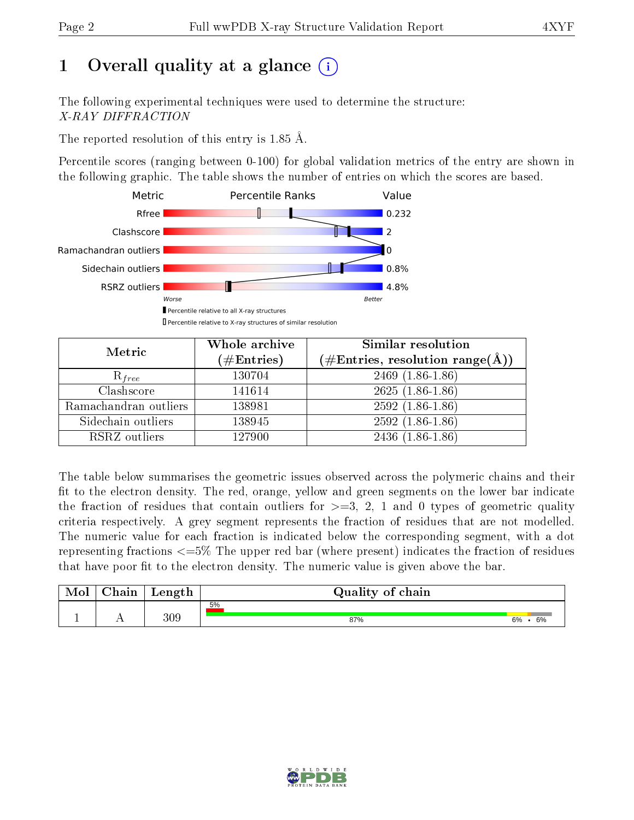# 1 [O](https://www.wwpdb.org/validation/2017/XrayValidationReportHelp#overall_quality)verall quality at a glance  $(i)$

The following experimental techniques were used to determine the structure: X-RAY DIFFRACTION

The reported resolution of this entry is 1.85 Å.

Percentile scores (ranging between 0-100) for global validation metrics of the entry are shown in the following graphic. The table shows the number of entries on which the scores are based.



| Metric                | Whole archive<br>$(\#\text{Entries})$ | Similar resolution<br>$(\#\text{Entries}, \text{resolution range}(\text{\AA}))$ |
|-----------------------|---------------------------------------|---------------------------------------------------------------------------------|
| $R_{free}$            | 130704                                | $2469$ $(1.86-1.86)$                                                            |
| Clashscore            | 141614                                | $2625(1.86-1.86)$                                                               |
| Ramachandran outliers | 138981                                | $2592(1.86-1.86)$                                                               |
| Sidechain outliers    | 138945                                | $2592(1.86-1.86)$                                                               |
| RSRZ outliers         | 127900                                | $2436(1.86-1.86)$                                                               |

The table below summarises the geometric issues observed across the polymeric chains and their fit to the electron density. The red, orange, yellow and green segments on the lower bar indicate the fraction of residues that contain outliers for  $>=3, 2, 1$  and 0 types of geometric quality criteria respectively. A grey segment represents the fraction of residues that are not modelled. The numeric value for each fraction is indicated below the corresponding segment, with a dot representing fractions  $\epsilon=5\%$  The upper red bar (where present) indicates the fraction of residues that have poor fit to the electron density. The numeric value is given above the bar.

| Mol | $\cap$ hain | Length | Quality of chain |               |  |  |  |  |
|-----|-------------|--------|------------------|---------------|--|--|--|--|
|     |             |        | 5%               |               |  |  |  |  |
|     | . .         | 309    | 87%              | $6\%$ .<br>6% |  |  |  |  |

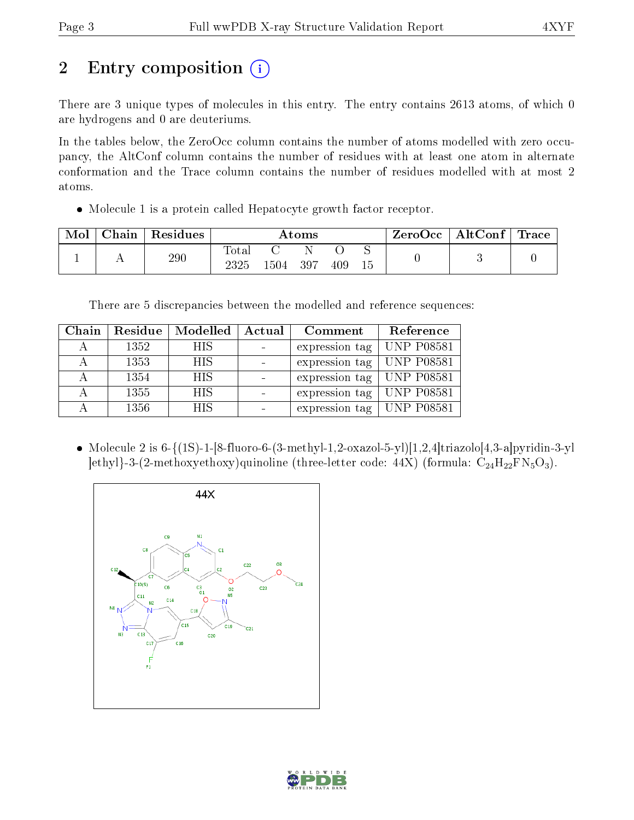# 2 Entry composition (i)

There are 3 unique types of molecules in this entry. The entry contains 2613 atoms, of which 0 are hydrogens and 0 are deuteriums.

In the tables below, the ZeroOcc column contains the number of atoms modelled with zero occupancy, the AltConf column contains the number of residues with at least one atom in alternate conformation and the Trace column contains the number of residues modelled with at most 2 atoms.

Molecule 1 is a protein called Hepatocyte growth factor receptor.

| Mol | Chain | Residues | $\rm{Atoms}$             |       |     | ZeroOcc | $\mid$ AltConf $\mid$ Trace |  |  |  |
|-----|-------|----------|--------------------------|-------|-----|---------|-----------------------------|--|--|--|
|     |       | 290      | $\mathrm{Tota}.$<br>2325 | 1504. | 397 | 409     |                             |  |  |  |

There are 5 discrepancies between the modelled and reference sequences:

| Chain | Residue | Modelled   | Actual | Comment        | Reference         |
|-------|---------|------------|--------|----------------|-------------------|
|       | 1352    | <b>HIS</b> |        | expression tag | <b>UNP P08581</b> |
|       | 1353    | <b>HIS</b> |        | expression tag | <b>UNP P08581</b> |
|       | 1354    | <b>HIS</b> |        | expression tag | <b>UNP P08581</b> |
| А     | 1355    | <b>HIS</b> |        | expression tag | <b>UNP P08581</b> |
|       | 1356    | <b>HIS</b> |        | expression tag | <b>UNP P08581</b> |

• Molecule 2 is  $6-\{(1S)-1-[8-fluoro-6-(3-methyl-1,2-oxazol-5-yl)[1,2,4]triazolo[4,3-a]pyridin-3-yl$  $\vert$ ethyl}-3-(2-methoxyethoxy)quinoline (three-letter code: 44X) (formula:  $C_{24}H_{22}FN_{5}O_{3}$ ).



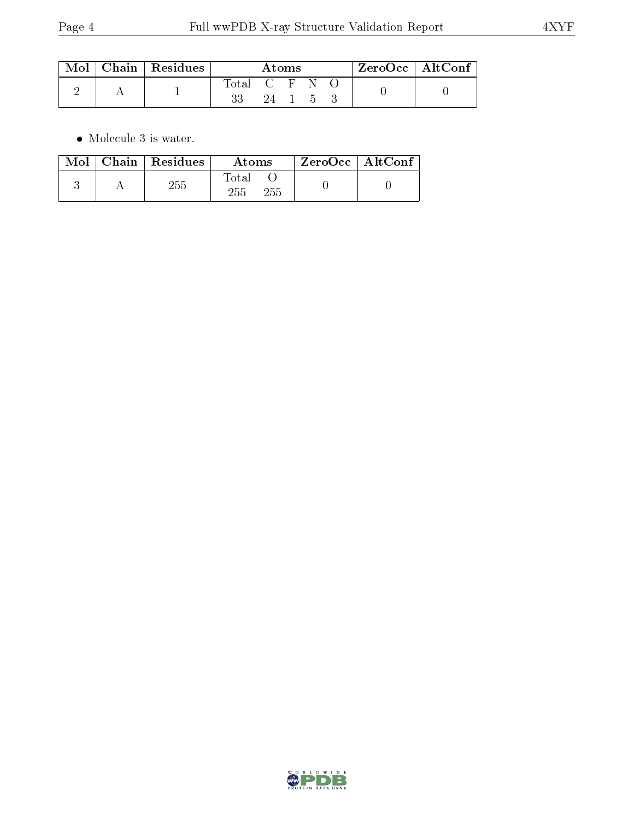|  | $\text{Mol}$   Chain   Residues | Atoms         |    |  |                 | $ZeroOcc \   \$ Alt $Conf$ |  |  |
|--|---------------------------------|---------------|----|--|-----------------|----------------------------|--|--|
|  |                                 | Total C F N O |    |  |                 |                            |  |  |
|  |                                 |               | 24 |  | $\sim$ 5 $\sim$ |                            |  |  |

 $\bullet\,$  Molecule 3 is water.

| Mol | $Chain$ Residues | Atoms               | $ZeroOcc \mid AltConf$ |  |
|-----|------------------|---------------------|------------------------|--|
|     | $255\,$          | Total<br>255<br>255 |                        |  |

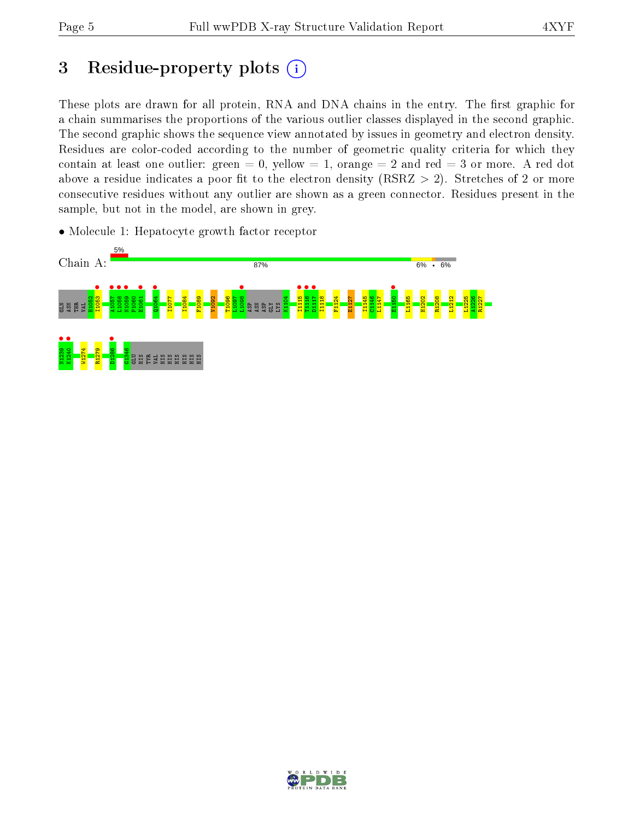## 3 Residue-property plots  $(i)$

These plots are drawn for all protein, RNA and DNA chains in the entry. The first graphic for a chain summarises the proportions of the various outlier classes displayed in the second graphic. The second graphic shows the sequence view annotated by issues in geometry and electron density. Residues are color-coded according to the number of geometric quality criteria for which they contain at least one outlier: green  $= 0$ , yellow  $= 1$ , orange  $= 2$  and red  $= 3$  or more. A red dot above a residue indicates a poor fit to the electron density (RSRZ  $> 2$ ). Stretches of 2 or more consecutive residues without any outlier are shown as a green connector. Residues present in the sample, but not in the model, are shown in grey.

• Molecule 1: Hepatocyte growth factor receptor



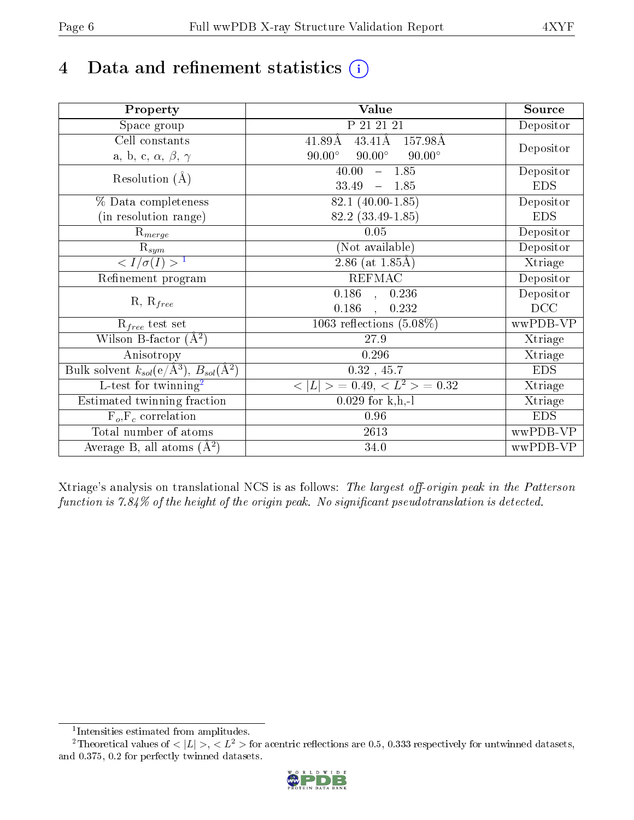# 4 Data and refinement statistics  $(i)$

| Property                                                             | <b>Value</b>                                      | Source     |
|----------------------------------------------------------------------|---------------------------------------------------|------------|
| Space group                                                          | P 21 21 21                                        | Depositor  |
| Cell constants                                                       | $43.41\text{\AA}$<br>$41.89\text{\AA}$<br>157.98Å | Depositor  |
| a, b, c, $\alpha$ , $\beta$ , $\gamma$                               | $90.00^\circ$<br>$90.00^\circ$<br>$90.00^\circ$   |            |
| Resolution $(A)$                                                     | $-1.85$<br>40.00                                  | Depositor  |
|                                                                      | 33.49<br>1.85<br>$\equiv$                         | <b>EDS</b> |
| % Data completeness                                                  | 82.1 (40.00-1.85)                                 | Depositor  |
| (in resolution range)                                                | 82.2 (33.49-1.85)                                 | <b>EDS</b> |
| $R_{merge}$                                                          | 0.05                                              | Depositor  |
| $\mathrm{R}_{sym}$                                                   | (Not available)                                   | Depositor  |
| $\langle I/\sigma(I) \rangle^{-1}$                                   | 2.86 (at $1.85\text{\AA}$ )                       | Xtriage    |
| Refinement program                                                   | <b>REFMAC</b>                                     | Depositor  |
| $R, R_{free}$                                                        | $\overline{0.186}$ ,<br>0.236                     | Depositor  |
|                                                                      | 0.186<br>0.232                                    | DCC        |
| $R_{free}$ test set                                                  | 1063 reflections $(5.08\%)$                       | wwPDB-VP   |
| Wilson B-factor $(A^2)$                                              | 27.9                                              | Xtriage    |
| Anisotropy                                                           | 0.296                                             | Xtriage    |
| Bulk solvent $k_{sol}(e/\mathring{A}^3)$ , $B_{sol}(\mathring{A}^2)$ | $0.32$ , 45.7                                     | <b>EDS</b> |
| L-test for twinning <sup>2</sup>                                     | $>$ = 0.49, < $L^2$ > = 0.32<br>< L               | Xtriage    |
| Estimated twinning fraction                                          | $0.029$ for k,h,-l                                | Xtriage    |
| $F_o, F_c$ correlation                                               | 0.96                                              | <b>EDS</b> |
| Total number of atoms                                                | $26\sqrt{13}$                                     | wwPDB-VP   |
| Average B, all atoms $(A^2)$                                         | 34.0                                              | wwPDB-VP   |

Xtriage's analysis on translational NCS is as follows: The largest off-origin peak in the Patterson function is  $7.84\%$  of the height of the origin peak. No significant pseudotranslation is detected.

<sup>&</sup>lt;sup>2</sup>Theoretical values of  $\langle |L| \rangle$ ,  $\langle L^2 \rangle$  for acentric reflections are 0.5, 0.333 respectively for untwinned datasets, and 0.375, 0.2 for perfectly twinned datasets.



<span id="page-5-1"></span><span id="page-5-0"></span><sup>1</sup> Intensities estimated from amplitudes.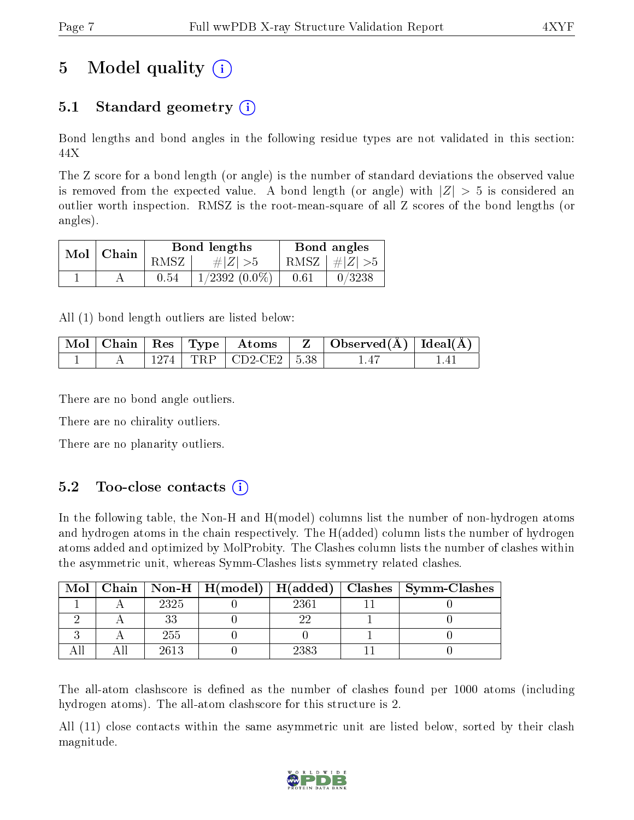## 5 Model quality  $(i)$

## 5.1 Standard geometry  $(i)$

Bond lengths and bond angles in the following residue types are not validated in this section: 44X

The Z score for a bond length (or angle) is the number of standard deviations the observed value is removed from the expected value. A bond length (or angle) with  $|Z| > 5$  is considered an outlier worth inspection. RMSZ is the root-mean-square of all Z scores of the bond lengths (or angles).

| $Mol$   Chain |      | Bond lengths       | Bond angles |                 |  |
|---------------|------|--------------------|-------------|-----------------|--|
|               | RMSZ | $\# Z  > 5$        |             | RMSZ $ #Z  > 5$ |  |
|               | 0.54 | $1/2392$ $(0.0\%)$ | 0.61        | 0/3238          |  |

All (1) bond length outliers are listed below:

|  |  | Mol   Chain   Res   Type   Atoms        | $\mid$ Observed( $\AA$ ) $\mid$ Ideal( $\AA$ ) $\mid$ |  |
|--|--|-----------------------------------------|-------------------------------------------------------|--|
|  |  | $1274$ TRP $\vert$ CD2-CE2 $\vert$ 5.38 | $\Delta$ <sup>-</sup>                                 |  |

There are no bond angle outliers.

There are no chirality outliers.

There are no planarity outliers.

### $5.2$  Too-close contacts  $(i)$

In the following table, the Non-H and H(model) columns list the number of non-hydrogen atoms and hydrogen atoms in the chain respectively. The H(added) column lists the number of hydrogen atoms added and optimized by MolProbity. The Clashes column lists the number of clashes within the asymmetric unit, whereas Symm-Clashes lists symmetry related clashes.

| Mol |      |      | Chain   Non-H   H(model)   H(added)   Clashes   Symm-Clashes |
|-----|------|------|--------------------------------------------------------------|
|     | 2325 | 2361 |                                                              |
|     |      |      |                                                              |
|     | 255  |      |                                                              |
|     | 2613 | 2383 |                                                              |

The all-atom clashscore is defined as the number of clashes found per 1000 atoms (including hydrogen atoms). The all-atom clashscore for this structure is 2.

All (11) close contacts within the same asymmetric unit are listed below, sorted by their clash magnitude.

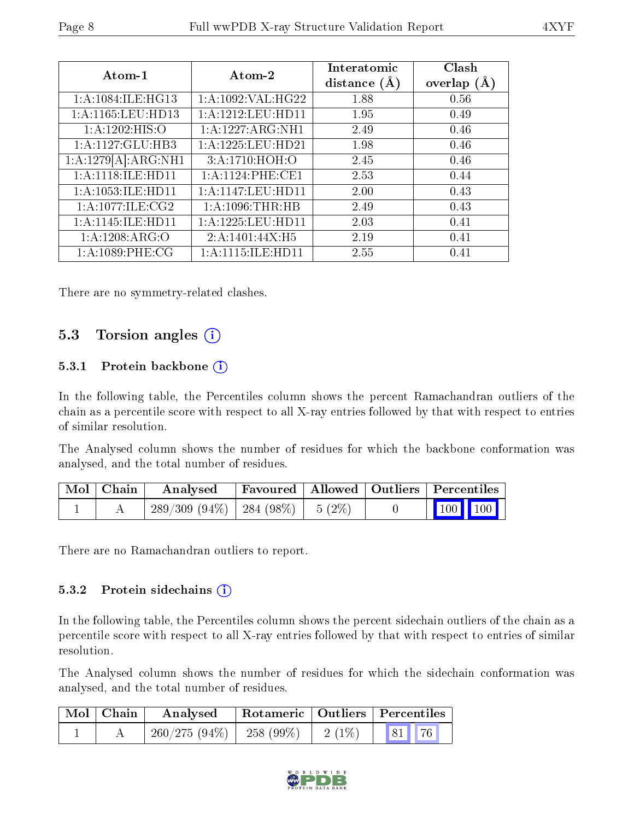| Atom-1                | Atom-2                | Interatomic<br>distance $(A)$ | Clash<br>overlap<br>(A) |
|-----------------------|-----------------------|-------------------------------|-------------------------|
| 1:A:1084:ILE:HG13     | 1: A: 1092: VAL:HG22  | 1.88                          | 0.56                    |
| 1:A:1165:LEU:HD13     | 1: A: 1212: LEU: HD11 | 1.95                          | 0.49                    |
| 1:A:1202:HIS:O        | 1: A: 1227: ARG: NH1  | 2.49                          | 0.46                    |
| 1:A:1127:GLU:HB3      | 1: A: 1225: LEU: HD21 | 1.98                          | 0.46                    |
| 1:A:1279[A]:ARG:NH1   | 3:A:1710:HOH:O        | 2.45                          | 0.46                    |
| 1: A:1118: ILE: HD11  | 1: A:1124: PHE:CE1    | 2.53                          | 0.44                    |
| 1: A: 1053: ILE: HD11 | 1: A:1147: LEU: HD11  | 2.00                          | 0.43                    |
| 1: A:1077: ILE:CG2    | $1: A: 1096: THR:HB$  | 2.49                          | 0.43                    |
| 1: A: 1145: ILE: HD11 | 1:A:1225:LEU:HD11     | 2.03                          | 0.41                    |
| 1: A: 1208: ARG: O    | 2:A:1401:44X:H5       | 2.19                          | 0.41                    |
| 1:A:1089:PHE:CG       | 1: A: 1115: ILE: HD11 | 2.55                          | 0.41                    |

There are no symmetry-related clashes.

### 5.3 Torsion angles (i)

#### 5.3.1 Protein backbone (i)

In the following table, the Percentiles column shows the percent Ramachandran outliers of the chain as a percentile score with respect to all X-ray entries followed by that with respect to entries of similar resolution.

The Analysed column shows the number of residues for which the backbone conformation was analysed, and the total number of residues.

| $\mid$ Mol $\mid$ Chain $\mid$ | Analysed                                      | Favoured   Allowed   Outliers   Percentiles |  |                         |  |
|--------------------------------|-----------------------------------------------|---------------------------------------------|--|-------------------------|--|
|                                | $289/309$ $(94\%)$   284 $(98\%)$   5 $(2\%)$ |                                             |  | $\vert$ 100 100 $\vert$ |  |

There are no Ramachandran outliers to report.

#### 5.3.2 Protein sidechains  $(i)$

In the following table, the Percentiles column shows the percent sidechain outliers of the chain as a percentile score with respect to all X-ray entries followed by that with respect to entries of similar resolution.

The Analysed column shows the number of residues for which the sidechain conformation was analysed, and the total number of residues.

| $\blacksquare$ Mol $\blacksquare$ Chain | Analysed                     |          | Rotameric   Outliers   Percentiles |
|-----------------------------------------|------------------------------|----------|------------------------------------|
|                                         | $260/275(94\%)$   258 (99\%) | $2(1\%)$ | 81 76                              |

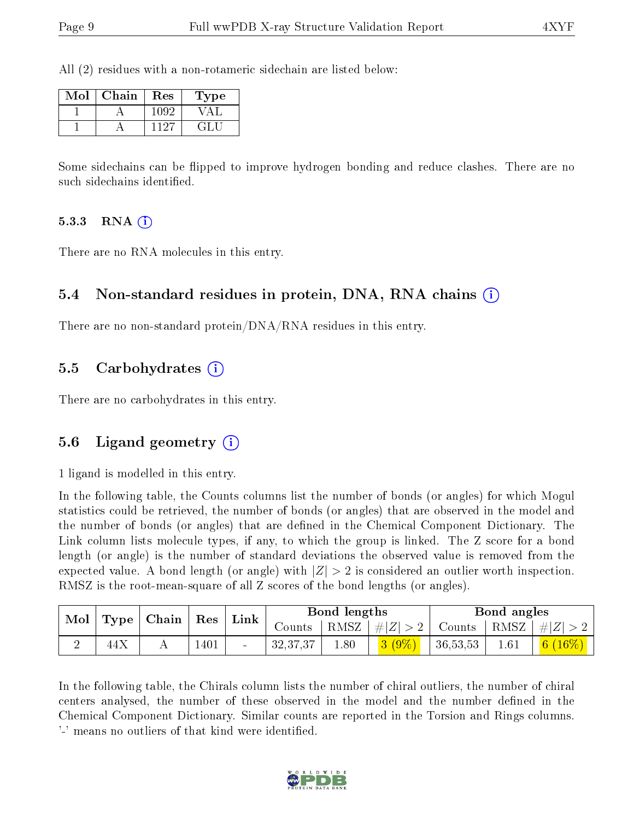All (2) residues with a non-rotameric sidechain are listed below:

| Mol | Chain | Res  | Type |
|-----|-------|------|------|
|     |       | 1092 |      |
|     |       |      | E.   |

Some sidechains can be flipped to improve hydrogen bonding and reduce clashes. There are no such sidechains identified.

#### 5.3.3 RNA  $(i)$

There are no RNA molecules in this entry.

### 5.4 Non-standard residues in protein, DNA, RNA chains (i)

There are no non-standard protein/DNA/RNA residues in this entry.

#### 5.5 Carbohydrates (i)

There are no carbohydrates in this entry.

#### 5.6 Ligand geometry (i)

1 ligand is modelled in this entry.

In the following table, the Counts columns list the number of bonds (or angles) for which Mogul statistics could be retrieved, the number of bonds (or angles) that are observed in the model and the number of bonds (or angles) that are defined in the Chemical Component Dictionary. The Link column lists molecule types, if any, to which the group is linked. The Z score for a bond length (or angle) is the number of standard deviations the observed value is removed from the expected value. A bond length (or angle) with  $|Z| > 2$  is considered an outlier worth inspection. RMSZ is the root-mean-square of all Z scores of the bond lengths (or angles).

| Mol | Type | $\perp$ Chain | ${\mathop{\mathrm{Res}}\nolimits}$ | Link   |            | Bond lengths |         |          | Bond angles |              |
|-----|------|---------------|------------------------------------|--------|------------|--------------|---------|----------|-------------|--------------|
|     |      |               |                                    |        | Counts     | RMSZ '       | $\# Z $ | Counts   | RMSZ        | $ \#  Z $    |
| ↵   | 44X  | . .           | $1401\,$                           | $\sim$ | 32, 37, 37 | 1.80         | $3(9\%$ | 36,53,53 | $1.61\,$    | 6 <br>$16\%$ |

In the following table, the Chirals column lists the number of chiral outliers, the number of chiral centers analysed, the number of these observed in the model and the number defined in the Chemical Component Dictionary. Similar counts are reported in the Torsion and Rings columns. '-' means no outliers of that kind were identified.

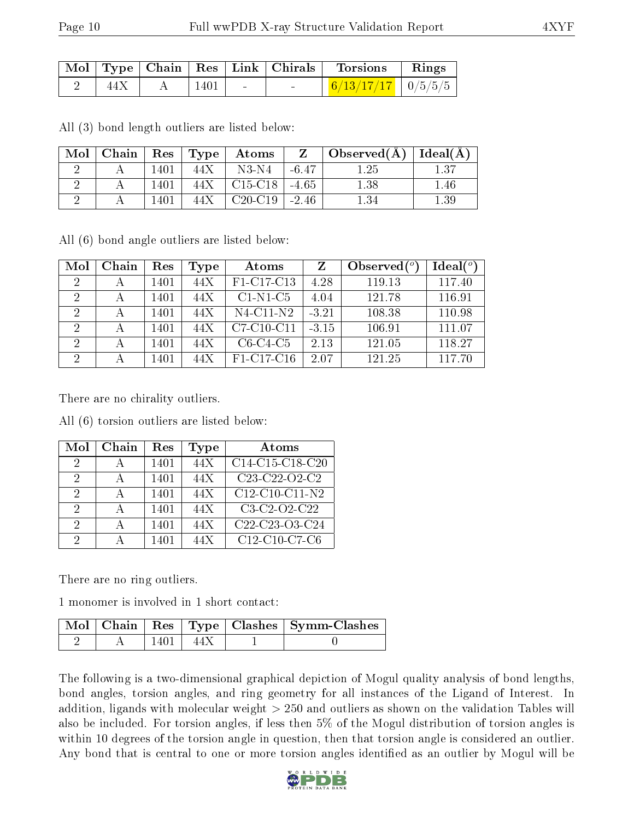|      |             |                            | $\mid$ Mol $\mid$ Type $\mid$ Chain $\mid$ Res $\mid$ Link $\mid$ Chirals $\mid$ Torsions | $\parallel$ Rings |
|------|-------------|----------------------------|-------------------------------------------------------------------------------------------|-------------------|
| 44 X | $\mid$ 1401 | the company of the company | $+$ 6/13/17/17 $+$ 0/5/5/5 <sup>+</sup>                                                   |                   |

All (3) bond length outliers are listed below:

| $\bf{Mol}$ |      |       | $\vert$ Chain $\vert$ Res $\vert$ Type $\vert$ Atoms | $\mathbf{Z}$ | $\mid$ Observed( $\rm \AA$ ) $\mid$ Ideal( $\rm \AA$ ) $\mid$ |          |
|------------|------|-------|------------------------------------------------------|--------------|---------------------------------------------------------------|----------|
|            | 1401 | 44X   | $N3-N4$                                              | -6.47        | 1.25                                                          | 137      |
|            | 1401 | 44X - | C15-C18                                              | $-4.65$      | 1.38                                                          | l.46     |
|            | 1401 | 44X   | $C20-C19$                                            | $-2.46$      |                                                               | $1.39\,$ |

All (6) bond angle outliers are listed below:

| Mol                         | Chain | Res  | Type | Atoms           |         | Observed $(°)$ | Ideal $(°)$ |
|-----------------------------|-------|------|------|-----------------|---------|----------------|-------------|
| $\overline{2}$              |       | 1401 | 44X  | F1-C17-C13      | 4.28    | 119.13         | 117.40      |
| $\mathcal{D}_{\mathcal{A}}$ |       | 1401 | 44X  | $C1-N1-C5$      | 4.04    | 121.78         | 116.91      |
| 2                           |       | 1401 | 44X  | $N4$ -C11- $N2$ | $-3.21$ | 108.38         | 110.98      |
| $\mathcal{D}$               |       | 1401 | 44X  | $C7-C10-C11$    | $-3.15$ | 106.91         | 111.07      |
| 2                           |       | 1401 | 44X  | $C6-C4-C5$      | 2.13    | 121.05         | 118.27      |
| 2                           |       | 1401 | 44X  | F1-C17-C16      | 2.07    | 121.25         | 117.70      |

There are no chirality outliers.

All (6) torsion outliers are listed below:

| Mol           | Chain | Res  | Type | Atoms                                                             |
|---------------|-------|------|------|-------------------------------------------------------------------|
| $\mathcal{D}$ |       | 1401 | 44X  | C14-C15-C18-C20                                                   |
| 2             |       | 1401 | 44X  | C <sub>23</sub> -C <sub>22</sub> -O <sub>2</sub> -C <sub>2</sub>  |
| 9             |       | 1401 | 44X  | $C12-C10-C11-N2$                                                  |
| 9             |       | 1401 | 44X  | $C3-C2-C2-C22$                                                    |
| 2             |       | 1401 | 44X  | C <sub>22</sub> -C <sub>23</sub> -O <sub>3</sub> -C <sub>24</sub> |
| 9             |       | 1401 | 44X  | C <sub>12</sub> -C <sub>10</sub> -C <sub>7</sub> -C <sub>6</sub>  |

There are no ring outliers.

1 monomer is involved in 1 short contact:

|  |      | Mol   Chain   Res   Type   Clashes   Symm-Clashes |
|--|------|---------------------------------------------------|
|  | 44 X |                                                   |

The following is a two-dimensional graphical depiction of Mogul quality analysis of bond lengths, bond angles, torsion angles, and ring geometry for all instances of the Ligand of Interest. In addition, ligands with molecular weight > 250 and outliers as shown on the validation Tables will also be included. For torsion angles, if less then 5% of the Mogul distribution of torsion angles is within 10 degrees of the torsion angle in question, then that torsion angle is considered an outlier. Any bond that is central to one or more torsion angles identified as an outlier by Mogul will be

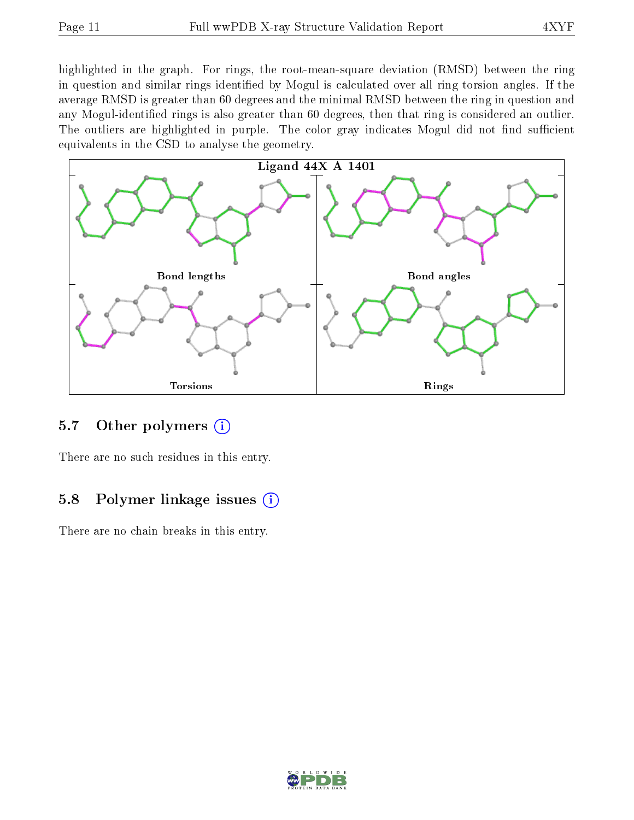highlighted in the graph. For rings, the root-mean-square deviation (RMSD) between the ring in question and similar rings identified by Mogul is calculated over all ring torsion angles. If the average RMSD is greater than 60 degrees and the minimal RMSD between the ring in question and any Mogul-identified rings is also greater than 60 degrees, then that ring is considered an outlier. The outliers are highlighted in purple. The color gray indicates Mogul did not find sufficient equivalents in the CSD to analyse the geometry.



### 5.7 [O](https://www.wwpdb.org/validation/2017/XrayValidationReportHelp#nonstandard_residues_and_ligands)ther polymers  $(i)$

There are no such residues in this entry.

### 5.8 Polymer linkage issues  $(i)$

There are no chain breaks in this entry.

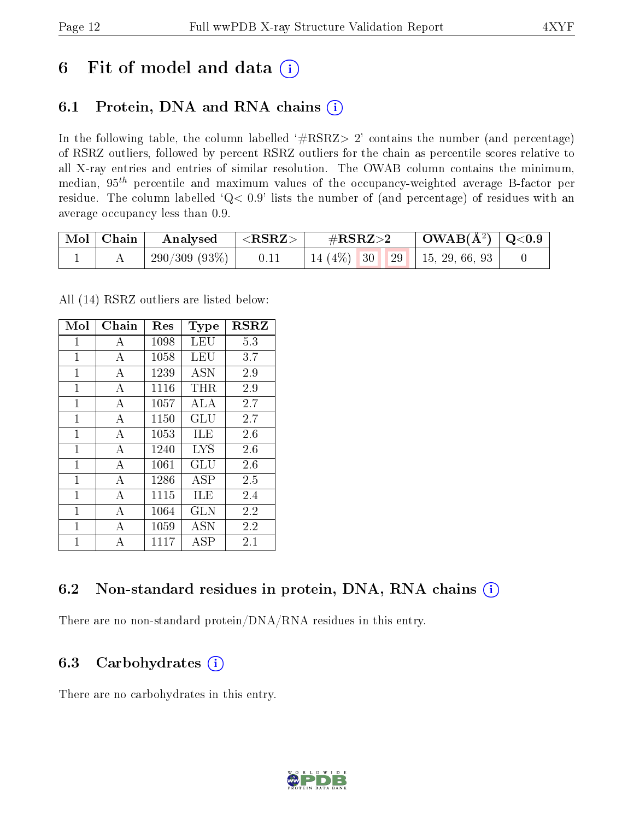## 6 Fit of model and data  $(i)$

## 6.1 Protein, DNA and RNA chains  $(i)$

In the following table, the column labelled  $#RSRZ> 2'$  contains the number (and percentage) of RSRZ outliers, followed by percent RSRZ outliers for the chain as percentile scores relative to all X-ray entries and entries of similar resolution. The OWAB column contains the minimum, median,  $95<sup>th</sup>$  percentile and maximum values of the occupancy-weighted average B-factor per residue. The column labelled ' $Q< 0.9$ ' lists the number of (and percentage) of residues with an average occupancy less than 0.9.

| $\mid$ Mol $\mid$ Chain | Analysed $ \langle \text{RSRZ} \rangle $ |      | $\#\text{RSRZ}\text{>2}$            | $\mid$ OWAB(Å <sup>2</sup> ) $\mid$ Q<0.9 |  |
|-------------------------|------------------------------------------|------|-------------------------------------|-------------------------------------------|--|
|                         | 290/309(93%)                             | 0.11 | 14 (4\%)   30   29   15, 29, 66, 93 |                                           |  |

All (14) RSRZ outliers are listed below:

| Mol          | $Chain$        | Res  | Type       | $_{\rm RSRZ}$ |
|--------------|----------------|------|------------|---------------|
| $\mathbf{1}$ | А              | 1098 | LEU        | 5.3           |
| $\mathbf{1}$ | А              | 1058 | LEU        | 3.7           |
| $\mathbf{1}$ | А              | 1239 | <b>ASN</b> | 2.9           |
| $\mathbf{1}$ | А              | 1116 | $\rm THR$  | 2.9           |
| 1            | А              | 1057 | ALA        | 2.7           |
| 1            | $\overline{A}$ | 1150 | GLU        | 2.7           |
| 1            | $\overline{A}$ | 1053 | <b>ILE</b> | 2.6           |
| $\mathbf{1}$ | $\overline{A}$ | 1240 | <b>LYS</b> | 2.6           |
| 1            | $\overline{A}$ | 1061 | GLU        | 2.6           |
| 1            | $\overline{A}$ | 1286 | ĀSP        | 2.5           |
| $\mathbf{1}$ | А              | 1115 | <b>ILE</b> | 2.4           |
| $\mathbf{1}$ | $\overline{A}$ | 1064 | <b>GLN</b> | 2.2           |
| 1            | А              | 1059 | ASN        | 2.2           |
| 1            | А              | 1117 | ASP        | 2.1           |

### 6.2 Non-standard residues in protein, DNA, RNA chains (i)

There are no non-standard protein/DNA/RNA residues in this entry.

### 6.3 Carbohydrates (i)

There are no carbohydrates in this entry.

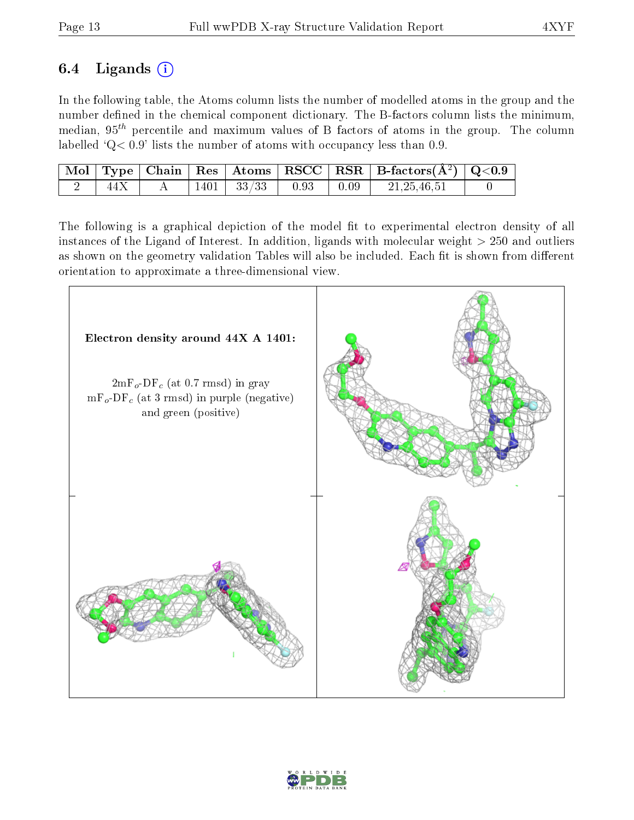## 6.4 Ligands  $(i)$

In the following table, the Atoms column lists the number of modelled atoms in the group and the number defined in the chemical component dictionary. The B-factors column lists the minimum, median,  $95<sup>th</sup>$  percentile and maximum values of B factors of atoms in the group. The column labelled  $Q < 0.9$ ' lists the number of atoms with occupancy less than 0.9.

|  |  |                                    |  | $\vert$ Mol $\vert$ Type $\vert$ Chain $\vert$ Res $\vert$ Atoms $\vert$ RSCC $\vert$ RSR $\vert$ B-factors( $A^2$ ) $\vert$ Q<0.9 |  |
|--|--|------------------------------------|--|------------------------------------------------------------------------------------------------------------------------------------|--|
|  |  | $1401$   $33/33$   $0.93$   $0.09$ |  | 21, 25, 46, 51                                                                                                                     |  |

The following is a graphical depiction of the model fit to experimental electron density of all instances of the Ligand of Interest. In addition, ligands with molecular weight  $> 250$  and outliers as shown on the geometry validation Tables will also be included. Each fit is shown from different orientation to approximate a three-dimensional view.